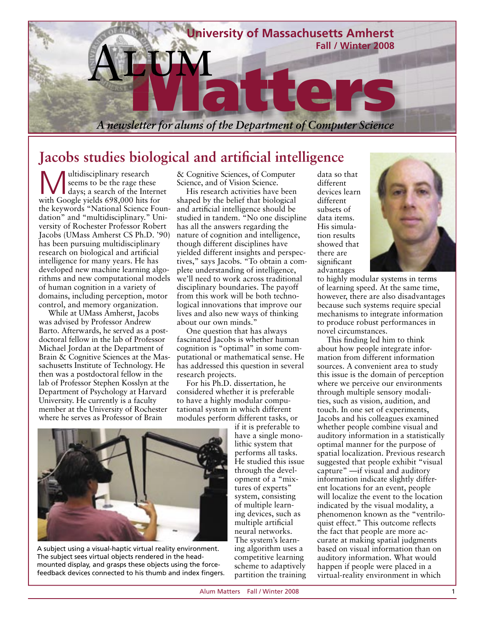

## **Jacobs studies biological and artificial intelligence**

**Multidisciplinary research<br>
days; a search of the Internet**<br>
with Coogle vide 608,000 bits for seems to be the rage these with Google yields 698,000 hits for the keywords "National Science Foundation" and "multidisciplinary." University of Rochester Professor Robert Jacobs (UMass Amherst CS Ph.D. '90) has been pursuing multidisciplinary research on biological and artificial intelligence for many years. He has developed new machine learning algorithms and new computational models of human cognition in a variety of domains, including perception, motor control, and memory organization.

While at UMass Amherst, Jacobs was advised by Professor Andrew Barto. Afterwards, he served as a postdoctoral fellow in the lab of Professor Michael Jordan at the Department of Brain & Cognitive Sciences at the Massachusetts Institute of Technology. He then was a postdoctoral fellow in the lab of Professor Stephen Kosslyn at the Department of Psychology at Harvard University. He currently is a faculty member at the University of Rochester where he serves as Professor of Brain

& Cognitive Sciences, of Computer Science, and of Vision Science.

His research activities have been shaped by the belief that biological and artificial intelligence should be studied in tandem. "No one discipline has all the answers regarding the nature of cognition and intelligence, though different disciplines have yielded different insights and perspectives," says Jacobs. "To obtain a complete understanding of intelligence, we'll need to work across traditional disciplinary boundaries. The payoff from this work will be both technological innovations that improve our lives and also new ways of thinking about our own minds."

One question that has always fascinated Jacobs is whether human cognition is "optimal" in some computational or mathematical sense. He has addressed this question in several research projects.

For his Ph.D. dissertation, he considered whether it is preferable to have a highly modular computational system in which different modules perform different tasks, or

if it is preferable to have a single monolithic system that performs all tasks. He studied this issue through the development of a "mixtures of experts" system, consisting of multiple learning devices, such as multiple artificial neural networks. The system's learning algorithm uses a competitive learning scheme to adaptively partition the training data so that different devices learn different subsets of data items. His simulation results showed that there are significant advantages



to highly modular systems in terms of learning speed. At the same time, however, there are also disadvantages because such systems require special mechanisms to integrate information to produce robust performances in novel circumstances.

This finding led him to think about how people integrate information from different information sources. A convenient area to study this issue is the domain of perception where we perceive our environments through multiple sensory modalities, such as vision, audition, and touch. In one set of experiments, Jacobs and his colleagues examined whether people combine visual and auditory information in a statistically optimal manner for the purpose of spatial localization. Previous research suggested that people exhibit "visual capture" —if visual and auditory information indicate slightly different locations for an event, people will localize the event to the location indicated by the visual modality, a phenomenon known as the "ventriloquist effect." This outcome reflects the fact that people are more accurate at making spatial judgments based on visual information than on auditory information. What would happen if people were placed in a virtual-reality environment in which



A subject using a visual-haptic virtual reality environment. The subject sees virtual objects rendered in the headmounted display, and grasps these objects using the forcefeedback devices connected to his thumb and index fingers.